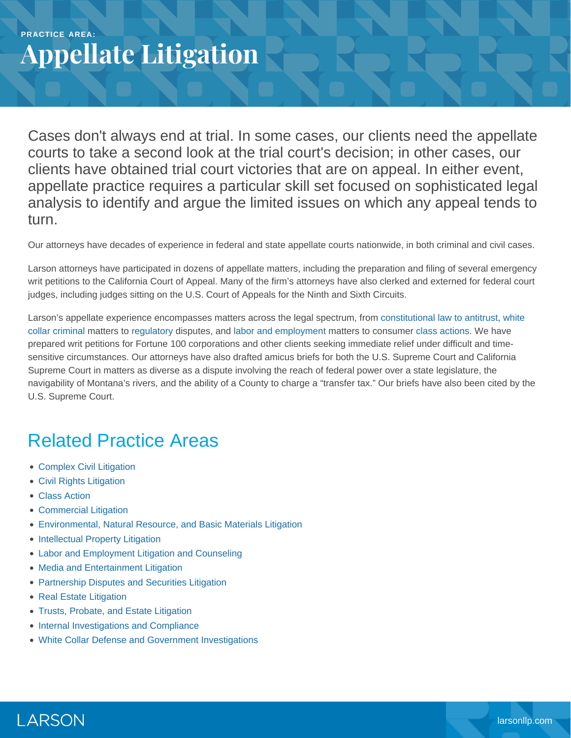## **PRACTICE AREA: Appellate Litigation**

Cases don't always end at trial. In some cases, our clients need the appellate courts to take a second look at the trial court's decision; in other cases, our clients have obtained trial court victories that are on appeal. In either event, appellate practice requires a particular skill set focused on sophisticated legal analysis to identify and argue the limited issues on which any appeal tends to turn.

Our attorneys have decades of experience in federal and state appellate courts nationwide, in both criminal and civil cases.

Larson attorneys have participated in dozens of appellate matters, including the preparation and filing of several emergency writ petitions to the California Court of Appeal. Many of the firm's attorneys have also clerked and externed for federal court judges, including judges sitting on the U.S. Court of Appeals for the Ninth and Sixth Circuits.

Larson's appellate experience encompasses matters across the legal spectrum, from [constitutional law to antitrust](https://www.larsonllp.com/practice-areas/complex-civil-litigation/), [white](https://www.larsonllp.com/practice-areas/white-collar-defense-and-government-investigations/) [collar criminal](https://www.larsonllp.com/practice-areas/white-collar-defense-and-government-investigations/) matters to [regulatory](https://www.larsonllp.com/practice-areas/internal-investigations-and-compliance/) disputes, and [labor and employment](https://www.larsonllp.com/practice-areas/complex-civil-litigation/labor-and-employment-litigation-and-counseling/) matters to consumer [class actions.](https://www.larsonllp.com/practice-areas/complex-civil-litigation/class-action/) We have prepared writ petitions for Fortune 100 corporations and other clients seeking immediate relief under difficult and timesensitive circumstances. Our attorneys have also drafted amicus briefs for both the U.S. Supreme Court and California Supreme Court in matters as diverse as a dispute involving the reach of federal power over a state legislature, the navigability of Montana's rivers, and the ability of a County to charge a "transfer tax." Our briefs have also been cited by the U.S. Supreme Court.

## Related Practice Areas

- [Complex Civil Litigation](https://www.larsonllp.com/practice-areas/complex-civil-litigation/)
- [Civil Rights Litigation](https://www.larsonllp.com/practice-areas/complex-civil-litigation/civil-rights-litigation/)
- [Class Action](https://www.larsonllp.com/practice-areas/complex-civil-litigation/class-action/)
- [Commercial Litigation](https://www.larsonllp.com/practice-areas/complex-civil-litigation/commercial-litigation/)
- [Environmental, Natural Resource, and Basic Materials Litigation](https://www.larsonllp.com/practice-areas/complex-civil-litigation/environmental-natural-resource-and-basic-materials-litigation/)
- [Intellectual Property Litigation](https://www.larsonllp.com/practice-areas/complex-civil-litigation/intellectual-property-litigation/)
- [Labor and Employment Litigation and Counseling](https://www.larsonllp.com/practice-areas/complex-civil-litigation/labor-and-employment-litigation-and-counseling/)
- [Media and Entertainment Litigation](https://www.larsonllp.com/practice-areas/complex-civil-litigation/media-and-entertainment-litigation/)
- [Partnership Disputes and Securities Litigation](https://www.larsonllp.com/practice-areas/complex-civil-litigation/partnership-disputes-and-securities-litigation/)
- [Real Estate Litigation](https://www.larsonllp.com/practice-areas/complex-civil-litigation/real-estate-litigation/)
- [Trusts, Probate, and Estate Litigation](https://www.larsonllp.com/practice-areas/complex-civil-litigation/trusts-probate-and-estate-litigation/)
- [Internal Investigations and Compliance](https://www.larsonllp.com/practice-areas/internal-investigations-and-compliance/)
- [White Collar Defense and Government Investigations](https://www.larsonllp.com/practice-areas/white-collar-defense-and-government-investigations/)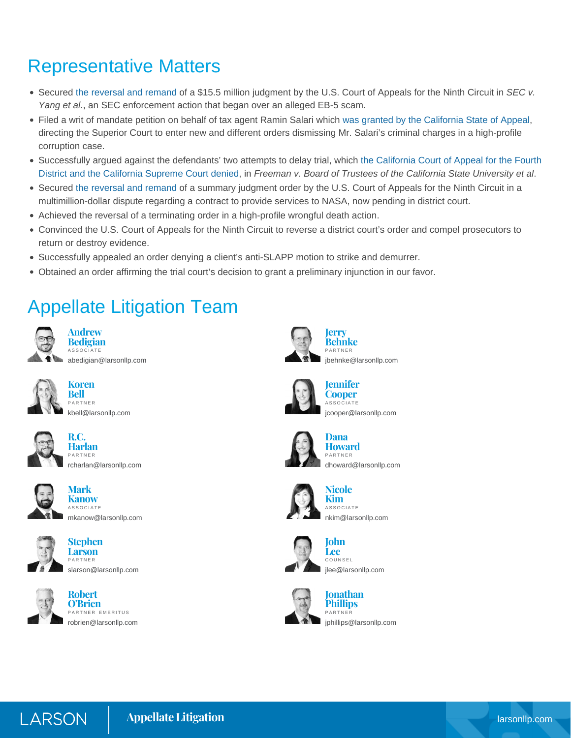## Representative Matters

- Secured [the reversal and remand](https://www.larsonllp.com/secs-15-5m-win-nixed-on-appeal-by-firms-clients/) of a \$15.5 million judgment by the U.S. Court of Appeals for the Ninth Circuit in *SEC v. Yang et al.*, an SEC enforcement action that began over an alleged EB-5 scam.
- Filed a writ of mandate petition on behalf of tax agent Ramin Salari which [was granted by the California State of Appeal](https://www.larsonllp.com/court-grants-firms-writ-of-mandate-petition/), directing the Superior Court to enter new and different orders dismissing Mr. Salari's criminal charges in a high-profile corruption case.
- Successfully argued against the defendants' two attempts to delay trial, which [the California Court of Appeal for the Fourth](https://www.larsonllp.com/large-civil-jury-trial-begins-in-san-bernardino/) [District and the California Supreme Court denied](https://www.larsonllp.com/large-civil-jury-trial-begins-in-san-bernardino/), in *Freeman v. Board of Trustees of the California State University et al*.
- Secured [the reversal and remand](https://www.larsonllp.com/ninth-circuit-reverses-order-in-contract-dispute/) of a summary judgment order by the U.S. Court of Appeals for the Ninth Circuit in a multimillion-dollar dispute regarding a contract to provide services to NASA, now pending in district court.
- Achieved the reversal of a terminating order in a high-profile wrongful death action.
- Convinced the U.S. Court of Appeals for the Ninth Circuit to reverse a district court's order and compel prosecutors to return or destroy evidence.
- Successfully appealed an order denying a client's anti-SLAPP motion to strike and demurrer.
- Obtained an order affirming the trial court's decision to grant a preliminary injunction in our favor.

## Appellate Litigation Team



**Andrew Bedigian** ASSOCIATE [abedigian@larsonllp.com](mailto:abedigian@larsonllp.com)



**Koren Bell** PARTNER [kbell@larsonllp.com](mailto:kbell@larsonllp.com)



**Harlan** PARTNER [rcharlan@larsonllp.com](mailto:rcharlan@larsonllp.com)

**R.C.**



**Mark Kanow** ASSOCIATE [mkanow@larsonllp.com](mailto:mkanow@larsonllp.com)



**Stephen Larson** PARTNER [slarson@larsonllp.com](mailto:slarson@larsonllp.com)



**Robert O'Brien** PARTNER EMERITUS [robrien@larsonllp.com](mailto:robrien@larsonllp.com)



**Behnke** PARTNER [jbehnke@larsonllp.com](mailto:jbehnke@larsonllp.com)



**Jennifer Cooper ASSOCIATE** [jcooper@larsonllp.com](mailto:jcooper@larsonllp.com)



**Dana Howard** PARTNER [dhoward@larsonllp.com](mailto:dhoward@larsonllp.com)



**Nicole Kim**ASSOCIATE [nkim@larsonllp.com](mailto:nkim@larsonllp.com)



**Lee** COUNSEL [jlee@larsonllp.com](mailto:jlee@larsonllp.com)



**Jonathan Phillips** PARTNER [jphillips@larsonllp.com](mailto:jphillips@larsonllp.com)